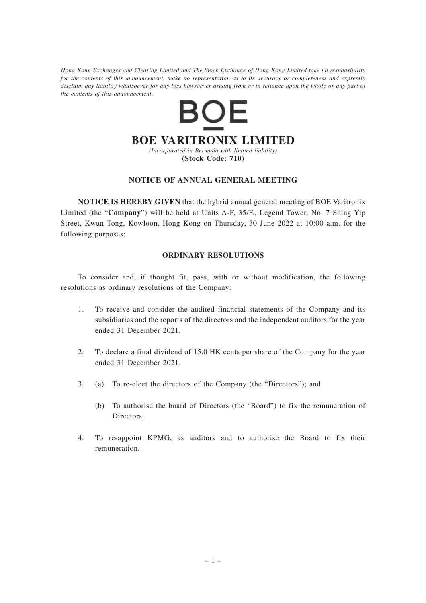*Hong Kong Exchanges and Clearing Limited and The Stock Exchange of Hong Kong Limited take no responsibility for the contents of this announcement, make no representation as to its accuracy or completeness and expressly disclaim any liability whatsoever for any loss howsoever arising from or in reliance upon the whole or any part of the contents of this announcement.*



### **NOTICE OF ANNUAL GENERAL MEETING**

**NOTICE IS HEREBY GIVEN** that the hybrid annual general meeting of BOE Varitronix Limited (the "**Company**") will be held at Units A-F, 35/F., Legend Tower, No. 7 Shing Yip Street, Kwun Tong, Kowloon, Hong Kong on Thursday, 30 June 2022 at 10:00 a.m. for the following purposes:

### **ORDINARY RESOLUTIONS**

To consider and, if thought fit, pass, with or without modification, the following resolutions as ordinary resolutions of the Company:

- 1. To receive and consider the audited financial statements of the Company and its subsidiaries and the reports of the directors and the independent auditors for the year ended 31 December 2021.
- 2. To declare a final dividend of 15.0 HK cents per share of the Company for the year ended 31 December 2021.
- 3. (a) To re-elect the directors of the Company (the "Directors"); and
	- (b) To authorise the board of Directors (the "Board") to fix the remuneration of Directors.
- 4. To re-appoint KPMG, as auditors and to authorise the Board to fix their remuneration.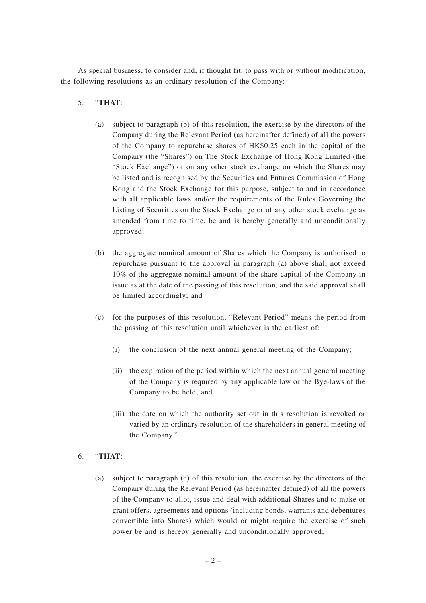As special business, to consider and, if thought fit, to pass with or without modification, the following resolutions as an ordinary resolution of the Company:

# 5. "**THAT**:

- (a) subject to paragraph (b) of this resolution, the exercise by the directors of the Company during the Relevant Period (as hereinafter defined) of all the powers of the Company to repurchase shares of HK\$0.25 each in the capital of the Company (the "Shares") on The Stock Exchange of Hong Kong Limited (the "Stock Exchange") or on any other stock exchange on which the Shares may be listed and is recognised by the Securities and Futures Commission of Hong Kong and the Stock Exchange for this purpose, subject to and in accordance with all applicable laws and/or the requirements of the Rules Governing the Listing of Securities on the Stock Exchange or of any other stock exchange as amended from time to time, be and is hereby generally and unconditionally approved;
- (b) the aggregate nominal amount of Shares which the Company is authorised to repurchase pursuant to the approval in paragraph (a) above shall not exceed 10% of the aggregate nominal amount of the share capital of the Company in issue as at the date of the passing of this resolution, and the said approval shall be limited accordingly; and
- (c) for the purposes of this resolution, "Relevant Period" means the period from the passing of this resolution until whichever is the earliest of:
	- (i) the conclusion of the next annual general meeting of the Company;
	- (ii) the expiration of the period within which the next annual general meeting of the Company is required by any applicable law or the Bye-laws of the Company to be held; and
	- (iii) the date on which the authority set out in this resolution is revoked or varied by an ordinary resolution of the shareholders in general meeting of the Company."

### 6. "**THAT**:

(a) subject to paragraph (c) of this resolution, the exercise by the directors of the Company during the Relevant Period (as hereinafter defined) of all the powers of the Company to allot, issue and deal with additional Shares and to make or grant offers, agreements and options (including bonds, warrants and debentures convertible into Shares) which would or might require the exercise of such power be and is hereby generally and unconditionally approved;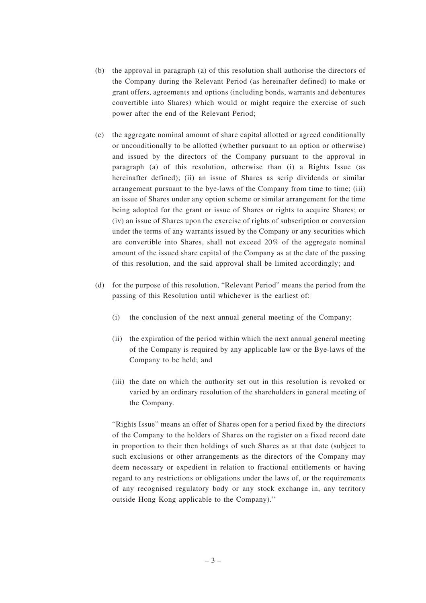- (b) the approval in paragraph (a) of this resolution shall authorise the directors of the Company during the Relevant Period (as hereinafter defined) to make or grant offers, agreements and options (including bonds, warrants and debentures convertible into Shares) which would or might require the exercise of such power after the end of the Relevant Period;
- (c) the aggregate nominal amount of share capital allotted or agreed conditionally or unconditionally to be allotted (whether pursuant to an option or otherwise) and issued by the directors of the Company pursuant to the approval in paragraph (a) of this resolution, otherwise than (i) a Rights Issue (as hereinafter defined); (ii) an issue of Shares as scrip dividends or similar arrangement pursuant to the bye-laws of the Company from time to time; (iii) an issue of Shares under any option scheme or similar arrangement for the time being adopted for the grant or issue of Shares or rights to acquire Shares; or (iv) an issue of Shares upon the exercise of rights of subscription or conversion under the terms of any warrants issued by the Company or any securities which are convertible into Shares, shall not exceed 20% of the aggregate nominal amount of the issued share capital of the Company as at the date of the passing of this resolution, and the said approval shall be limited accordingly; and
- (d) for the purpose of this resolution, "Relevant Period" means the period from the passing of this Resolution until whichever is the earliest of:
	- (i) the conclusion of the next annual general meeting of the Company;
	- (ii) the expiration of the period within which the next annual general meeting of the Company is required by any applicable law or the Bye-laws of the Company to be held; and
	- (iii) the date on which the authority set out in this resolution is revoked or varied by an ordinary resolution of the shareholders in general meeting of the Company.

"Rights Issue" means an offer of Shares open for a period fixed by the directors of the Company to the holders of Shares on the register on a fixed record date in proportion to their then holdings of such Shares as at that date (subject to such exclusions or other arrangements as the directors of the Company may deem necessary or expedient in relation to fractional entitlements or having regard to any restrictions or obligations under the laws of, or the requirements of any recognised regulatory body or any stock exchange in, any territory outside Hong Kong applicable to the Company)."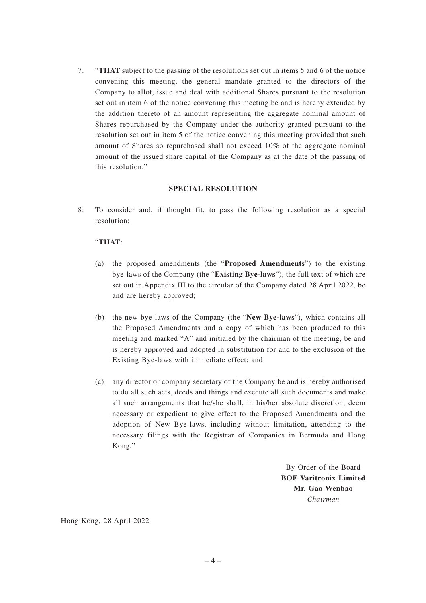7. "**THAT** subject to the passing of the resolutions set out in items 5 and 6 of the notice convening this meeting, the general mandate granted to the directors of the Company to allot, issue and deal with additional Shares pursuant to the resolution set out in item 6 of the notice convening this meeting be and is hereby extended by the addition thereto of an amount representing the aggregate nominal amount of Shares repurchased by the Company under the authority granted pursuant to the resolution set out in item 5 of the notice convening this meeting provided that such amount of Shares so repurchased shall not exceed 10% of the aggregate nominal amount of the issued share capital of the Company as at the date of the passing of this resolution."

#### **SPECIAL RESOLUTION**

8. To consider and, if thought fit, to pass the following resolution as a special resolution:

## "**THAT**:

- (a) the proposed amendments (the "**Proposed Amendments**") to the existing bye-laws of the Company (the "**Existing Bye-laws**"), the full text of which are set out in Appendix III to the circular of the Company dated 28 April 2022, be and are hereby approved;
- (b) the new bye-laws of the Company (the "**New Bye-laws**"), which contains all the Proposed Amendments and a copy of which has been produced to this meeting and marked "A" and initialed by the chairman of the meeting, be and is hereby approved and adopted in substitution for and to the exclusion of the Existing Bye-laws with immediate effect; and
- (c) any director or company secretary of the Company be and is hereby authorised to do all such acts, deeds and things and execute all such documents and make all such arrangements that he/she shall, in his/her absolute discretion, deem necessary or expedient to give effect to the Proposed Amendments and the adoption of New Bye-laws, including without limitation, attending to the necessary filings with the Registrar of Companies in Bermuda and Hong Kong."

By Order of the Board **BOE Varitronix Limited Mr. Gao Wenbao** *Chairman*

Hong Kong, 28 April 2022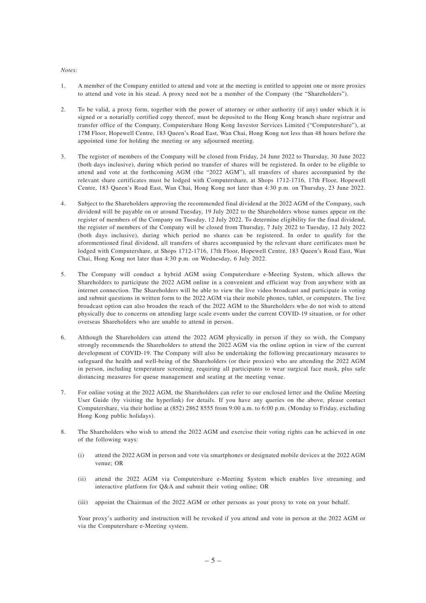#### *Notes:*

- 1. A member of the Company entitled to attend and vote at the meeting is entitled to appoint one or more proxies to attend and vote in his stead. A proxy need not be a member of the Company (the "Shareholders").
- 2. To be valid, a proxy form, together with the power of attorney or other authority (if any) under which it is signed or a notarially certified copy thereof, must be deposited to the Hong Kong branch share registrar and transfer office of the Company, Computershare Hong Kong Investor Services Limited ("Computershare"), at 17M Floor, Hopewell Centre, 183 Queen's Road East, Wan Chai, Hong Kong not less than 48 hours before the appointed time for holding the meeting or any adjourned meeting.
- 3. The register of members of the Company will be closed from Friday, 24 June 2022 to Thursday, 30 June 2022 (both days inclusive), during which period no transfer of shares will be registered. In order to be eligible to attend and vote at the forthcoming AGM (the "2022 AGM"), all transfers of shares accompanied by the relevant share certificates must be lodged with Computershare, at Shops 1712-1716, 17th Floor, Hopewell Centre, 183 Queen's Road East, Wan Chai, Hong Kong not later than 4:30 p.m. on Thursday, 23 June 2022.
- 4. Subject to the Shareholders approving the recommended final dividend at the 2022 AGM of the Company, such dividend will be payable on or around Tuesday, 19 July 2022 to the Shareholders whose names appear on the register of members of the Company on Tuesday, 12 July 2022. To determine eligibility for the final dividend, the register of members of the Company will be closed from Thursday, 7 July 2022 to Tuesday, 12 July 2022 (both days inclusive), during which period no shares can be registered. In order to qualify for the aforementioned final dividend, all transfers of shares accompanied by the relevant share certificates must be lodged with Computershare, at Shops 1712-1716, 17th Floor, Hopewell Centre, 183 Queen's Road East, Wan Chai, Hong Kong not later than 4:30 p.m. on Wednesday, 6 July 2022.
- 5. The Company will conduct a hybrid AGM using Computershare e-Meeting System, which allows the Shareholders to participate the 2022 AGM online in a convenient and efficient way from anywhere with an internet connection. The Shareholders will be able to view the live video broadcast and participate in voting and submit questions in written form to the 2022 AGM via their mobile phones, tablet, or computers. The live broadcast option can also broaden the reach of the 2022 AGM to the Shareholders who do not wish to attend physically due to concerns on attending large scale events under the current COVID-19 situation, or for other overseas Shareholders who are unable to attend in person.
- 6. Although the Shareholders can attend the 2022 AGM physically in person if they so wish, the Company strongly recommends the Shareholders to attend the 2022 AGM via the online option in view of the current development of COVID-19. The Company will also be undertaking the following precautionary measures to safeguard the health and well-being of the Shareholders (or their proxies) who are attending the 2022 AGM in person, including temperature screening, requiring all participants to wear surgical face mask, plus safe distancing measures for queue management and seating at the meeting venue.
- 7. For online voting at the 2022 AGM, the Shareholders can refer to our enclosed letter and the Online Meeting User Guide (by visiting the hyperlink) for details. If you have any queries on the above, please contact Computershare, via their hotline at (852) 2862 8555 from 9:00 a.m. to 6:00 p.m. (Monday to Friday, excluding Hong Kong public holidays).
- 8. The Shareholders who wish to attend the 2022 AGM and exercise their voting rights can be achieved in one of the following ways:
	- (i) attend the 2022 AGM in person and vote via smartphones or designated mobile devices at the 2022 AGM venue; OR
	- (ii) attend the 2022 AGM via Computershare e-Meeting System which enables live streaming and interactive platform for Q&A and submit their voting online; OR
	- (iii) appoint the Chairman of the 2022 AGM or other persons as your proxy to vote on your behalf.

Your proxy's authority and instruction will be revoked if you attend and vote in person at the 2022 AGM or via the Computershare e-Meeting system.